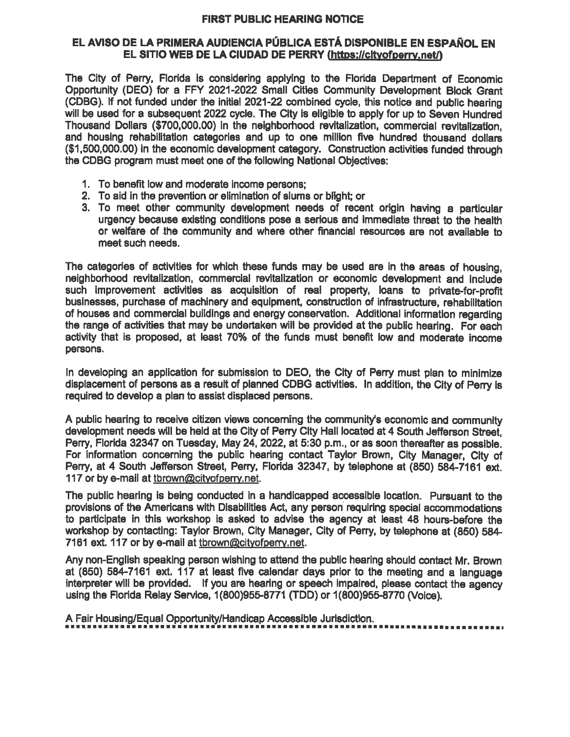## FIRST PUBLIC HEARING NOTICE

## EL AVISO DE LA PRIMERA AUDIENCIA PÚBLICA ESTÁ DISPONIBLE EN ESPAÑOL EN EL SITIO WEB DE LA CIUDAD DE PERRY (https://cltyofperry.net/)

The City of Perry, Florida is considering applying to the Florida Department of Economic Opportunity (DEO) for a FFY 2021-2022 Small Cities Community Development Block Grant (CDBG). If not funded under the initial 2021-22 combined cycle, this notice and public hearing will be used for a subsequent 2022 cycle. The City is eligible to apply for up to Seven Hundred Thousand Dollars (\$700, 000.00) in the neighborhood revitalization, commercial revitalization, and housing rehabilitation categories and up to one million five hundred thousand dollars (\$1, 500, 000.00) in the economic development category. Constmction activities funded through the CDBG program must meet one of the following National Objectives:

- 1. To benefit low and moderate income persons;
- 2. To aid in the prevention or elimination of slums or blight; or
- 3. To meet other community development needs of recent origin having a particular urgency because existing conditions pose a serious and immediate threat to the health or welfare of the community and where other financial resources are not available to meet such needs.

The categories of activities for which these funds may be used are in the areas of housing, neighborhood revitalization, commercial revitalization or economic development and include such improvement activities as acquisition of real property, loans to private-for-profit businesses, purchase of machinery and equipment, construction of infrastructure, rehabilitation of houses and commercial buildings and energy conservation. Additional information regarding the range of activities that may be undertaken will be provided at the public hearing. For each activity that is proposed, at least 70% of the funds must benefit low and moderate income persons.

In developing an application for submission to DEO, the City of Perry must plan to minimize displacement of persons as a result of planned CDBG activities. In addition, the City of Perry is required to develop a plan to assist displaced persons.

A public hearing to receive citizen views concerning the community's economic and community development needs will be held at the City of Perry City Hall located at 4 South Jefferson Street, Perry, Florida 32347 on Tuesday, May 24, 2022, at 5:30 p.m., or as soon thereafter as possible. For information concerning the public hearing contact Taylor Brown, City Manager, City of Perry, at 4 South Jefferson Street, Perry, Florida 32347, by telephone at (850) 584-7161 ext. 117 or by e-mail at tbrown@cityofperry.net.

The public hearing is being conducted in a handicapped accessible location. Pursuant to the provisions of the Americans with Disabilities Act, any person requiring special accommodations to participate in this workshop is asked to advise the agency at least 48 hours-before the workshop by contacting: Taylor Brown, City Manager, City of Perry, by telephone at (850) 584- 7161 ext. 117 or by e-mail at tbrown@cityofperry.net.

Any non-English speaking person wishing to attend the public hearing should contact Mr. Brown at (850) 584-7161 ext. 117 at least five calendar days prior to the meeting and a language interpreter will be provided. If you are hearing or speech impaired, please contact the agency using the Florida Relay Service, 1(800)955-8771 (TDD) or 1(800)955-8770 (Voice).

A Fair Housing/Equal Opportunity/Handicap Accessible Jurisdiction.